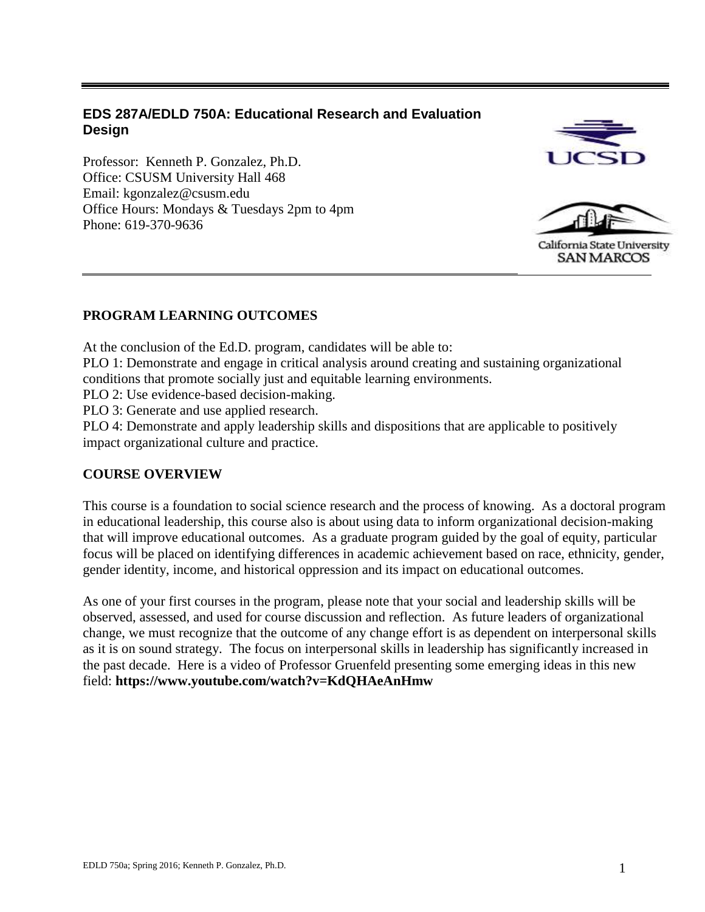# **EDS 287A/EDLD 750A: Educational Research and Evaluation Design**

Professor: Kenneth P. Gonzalez, Ph.D. Office: CSUSM University Hall 468 Email: kgonzalez@csusm.edu Office Hours: Mondays & Tuesdays 2pm to 4pm Phone: 619-370-9636





California State University **SAN MARCOS** 

# **PROGRAM LEARNING OUTCOMES**

At the conclusion of the Ed.D. program, candidates will be able to:

PLO 1: Demonstrate and engage in critical analysis around creating and sustaining organizational conditions that promote socially just and equitable learning environments.

PLO 2: Use evidence-based decision-making.

PLO 3: Generate and use applied research.

PLO 4: Demonstrate and apply leadership skills and dispositions that are applicable to positively impact organizational culture and practice.

# **COURSE OVERVIEW**

This course is a foundation to social science research and the process of knowing. As a doctoral program in educational leadership, this course also is about using data to inform organizational decision-making that will improve educational outcomes. As a graduate program guided by the goal of equity, particular focus will be placed on identifying differences in academic achievement based on race, ethnicity, gender, gender identity, income, and historical oppression and its impact on educational outcomes.

As one of your first courses in the program, please note that your social and leadership skills will be observed, assessed, and used for course discussion and reflection. As future leaders of organizational change, we must recognize that the outcome of any change effort is as dependent on interpersonal skills as it is on sound strategy. The focus on interpersonal skills in leadership has significantly increased in the past decade. Here is a video of Professor Gruenfeld presenting some emerging ideas in this new field: **https://www.youtube.com/watch?v=KdQHAeAnHmw**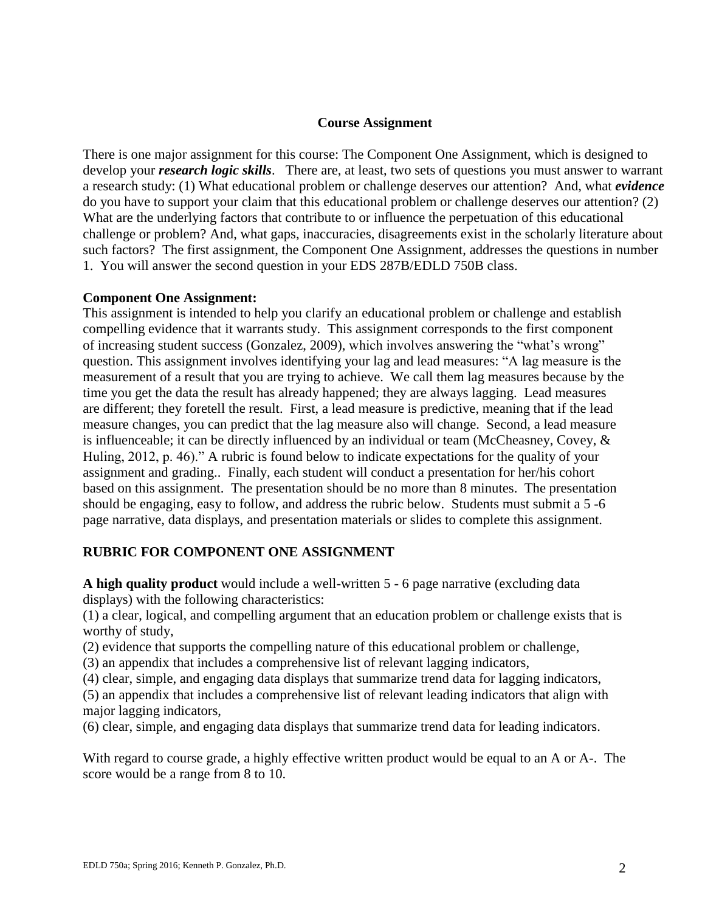## **Course Assignment**

There is one major assignment for this course: The Component One Assignment, which is designed to develop your *research logic skills*. There are, at least, two sets of questions you must answer to warrant a research study: (1) What educational problem or challenge deserves our attention? And, what *evidence* do you have to support your claim that this educational problem or challenge deserves our attention? (2) What are the underlying factors that contribute to or influence the perpetuation of this educational challenge or problem? And, what gaps, inaccuracies, disagreements exist in the scholarly literature about such factors? The first assignment, the Component One Assignment, addresses the questions in number 1. You will answer the second question in your EDS 287B/EDLD 750B class.

## **Component One Assignment:**

This assignment is intended to help you clarify an educational problem or challenge and establish compelling evidence that it warrants study. This assignment corresponds to the first component of increasing student success (Gonzalez, 2009), which involves answering the "what's wrong" question. This assignment involves identifying your lag and lead measures: "A lag measure is the measurement of a result that you are trying to achieve. We call them lag measures because by the time you get the data the result has already happened; they are always lagging. Lead measures are different; they foretell the result. First, a lead measure is predictive, meaning that if the lead measure changes, you can predict that the lag measure also will change. Second, a lead measure is influenceable; it can be directly influenced by an individual or team (McCheasney, Covey, & Huling, 2012, p. 46)." A rubric is found below to indicate expectations for the quality of your assignment and grading.. Finally, each student will conduct a presentation for her/his cohort based on this assignment. The presentation should be no more than 8 minutes. The presentation should be engaging, easy to follow, and address the rubric below. Students must submit a 5 -6 page narrative, data displays, and presentation materials or slides to complete this assignment.

## **RUBRIC FOR COMPONENT ONE ASSIGNMENT**

**A high quality product** would include a well-written 5 - 6 page narrative (excluding data displays) with the following characteristics:

(1) a clear, logical, and compelling argument that an education problem or challenge exists that is worthy of study,

(2) evidence that supports the compelling nature of this educational problem or challenge,

(3) an appendix that includes a comprehensive list of relevant lagging indicators,

(4) clear, simple, and engaging data displays that summarize trend data for lagging indicators,

(5) an appendix that includes a comprehensive list of relevant leading indicators that align with major lagging indicators,

(6) clear, simple, and engaging data displays that summarize trend data for leading indicators.

With regard to course grade, a highly effective written product would be equal to an A or A-. The score would be a range from 8 to 10.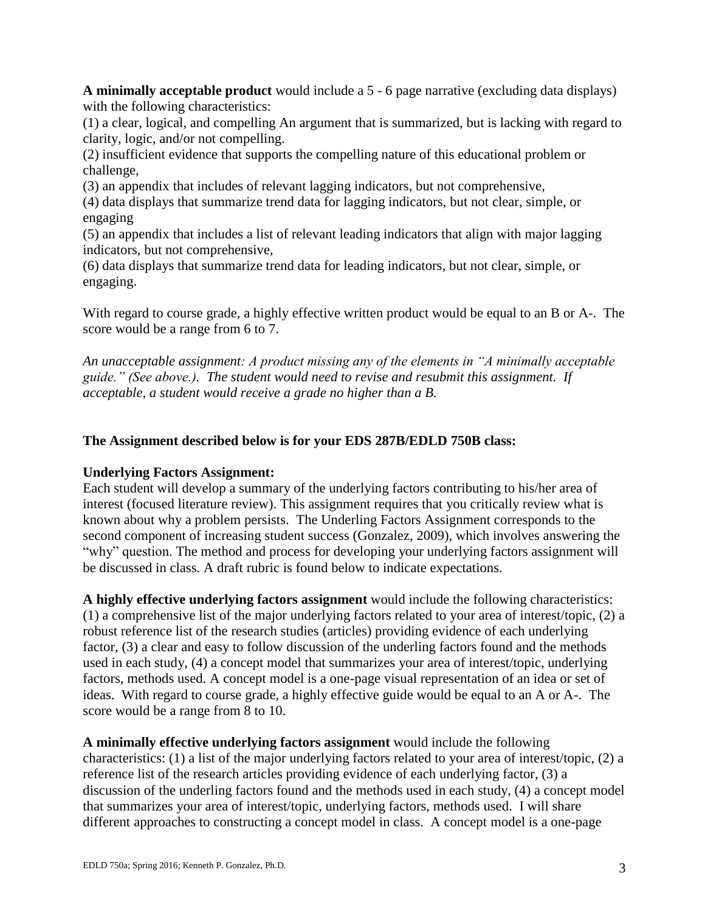**A minimally acceptable product** would include a 5 - 6 page narrative (excluding data displays) with the following characteristics:

(1) a clear, logical, and compelling An argument that is summarized, but is lacking with regard to clarity, logic, and/or not compelling.

(2) insufficient evidence that supports the compelling nature of this educational problem or challenge,

(3) an appendix that includes of relevant lagging indicators, but not comprehensive,

(4) data displays that summarize trend data for lagging indicators, but not clear, simple, or engaging

(5) an appendix that includes a list of relevant leading indicators that align with major lagging indicators, but not comprehensive,

(6) data displays that summarize trend data for leading indicators, but not clear, simple, or engaging.

With regard to course grade, a highly effective written product would be equal to an B or A-. The score would be a range from 6 to 7.

*An unacceptable assignment: A product missing any of the elements in "A minimally acceptable guide." (See above.). The student would need to revise and resubmit this assignment. If acceptable, a student would receive a grade no higher than a B.*

# **The Assignment described below is for your EDS 287B/EDLD 750B class:**

# **Underlying Factors Assignment:**

Each student will develop a summary of the underlying factors contributing to his/her area of interest (focused literature review). This assignment requires that you critically review what is known about why a problem persists. The Underling Factors Assignment corresponds to the second component of increasing student success (Gonzalez, 2009), which involves answering the "why" question. The method and process for developing your underlying factors assignment will be discussed in class. A draft rubric is found below to indicate expectations.

**A highly effective underlying factors assignment** would include the following characteristics: (1) a comprehensive list of the major underlying factors related to your area of interest/topic, (2) a robust reference list of the research studies (articles) providing evidence of each underlying factor, (3) a clear and easy to follow discussion of the underling factors found and the methods used in each study, (4) a concept model that summarizes your area of interest/topic, underlying factors, methods used. A concept model is a one-page visual representation of an idea or set of ideas. With regard to course grade, a highly effective guide would be equal to an A or A-. The score would be a range from 8 to 10.

**A minimally effective underlying factors assignment** would include the following characteristics: (1) a list of the major underlying factors related to your area of interest/topic, (2) a reference list of the research articles providing evidence of each underlying factor, (3) a discussion of the underling factors found and the methods used in each study, (4) a concept model that summarizes your area of interest/topic, underlying factors, methods used. I will share different approaches to constructing a concept model in class. A concept model is a one-page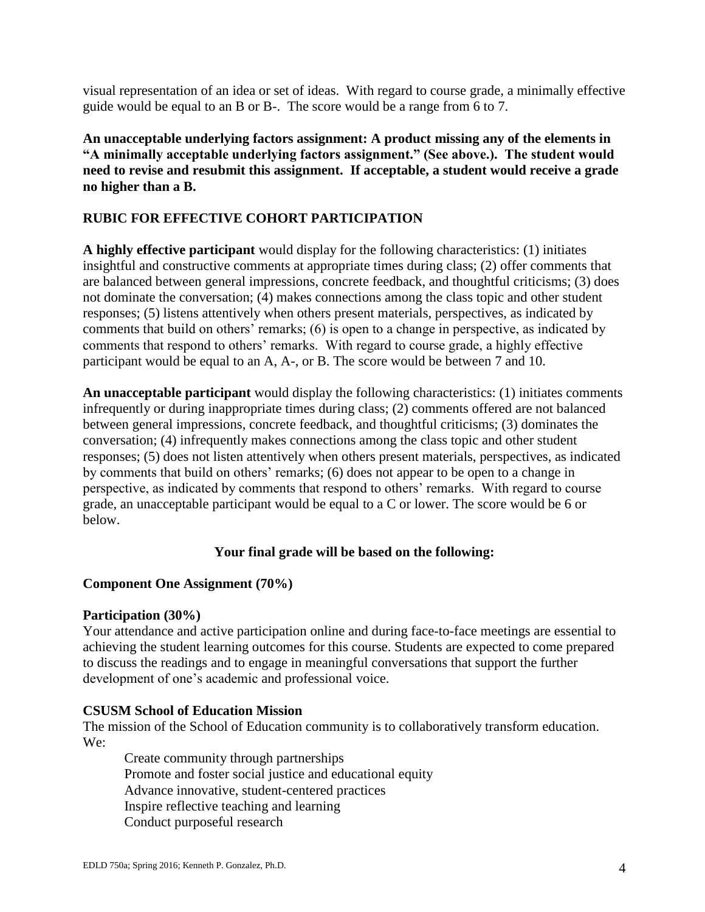visual representation of an idea or set of ideas. With regard to course grade, a minimally effective guide would be equal to an B or B-. The score would be a range from 6 to 7.

**An unacceptable underlying factors assignment: A product missing any of the elements in "A minimally acceptable underlying factors assignment." (See above.). The student would need to revise and resubmit this assignment. If acceptable, a student would receive a grade no higher than a B.**

# **RUBIC FOR EFFECTIVE COHORT PARTICIPATION**

**A highly effective participant** would display for the following characteristics: (1) initiates insightful and constructive comments at appropriate times during class; (2) offer comments that are balanced between general impressions, concrete feedback, and thoughtful criticisms; (3) does not dominate the conversation; (4) makes connections among the class topic and other student responses; (5) listens attentively when others present materials, perspectives, as indicated by comments that build on others' remarks; (6) is open to a change in perspective, as indicated by comments that respond to others' remarks. With regard to course grade, a highly effective participant would be equal to an A, A-, or B. The score would be between 7 and 10.

**An unacceptable participant** would display the following characteristics: (1) initiates comments infrequently or during inappropriate times during class; (2) comments offered are not balanced between general impressions, concrete feedback, and thoughtful criticisms; (3) dominates the conversation; (4) infrequently makes connections among the class topic and other student responses; (5) does not listen attentively when others present materials, perspectives, as indicated by comments that build on others' remarks; (6) does not appear to be open to a change in perspective, as indicated by comments that respond to others' remarks. With regard to course grade, an unacceptable participant would be equal to a C or lower. The score would be 6 or below.

# **Your final grade will be based on the following:**

## **Component One Assignment (70%)**

## **Participation (30%)**

Your attendance and active participation online and during face-to-face meetings are essential to achieving the student learning outcomes for this course. Students are expected to come prepared to discuss the readings and to engage in meaningful conversations that support the further development of one's academic and professional voice.

## **CSUSM School of Education Mission**

The mission of the School of Education community is to collaboratively transform education. We:

Create community through partnerships Promote and foster social justice and educational equity Advance innovative, student-centered practices Inspire reflective teaching and learning Conduct purposeful research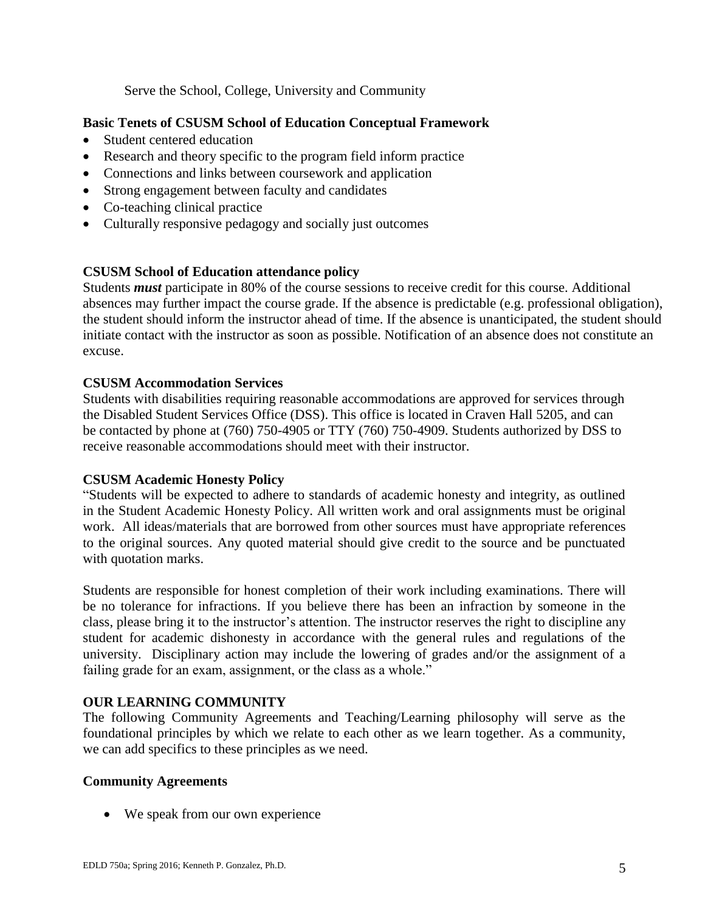Serve the School, College, University and Community

## **Basic Tenets of CSUSM School of Education Conceptual Framework**

- Student centered education
- Research and theory specific to the program field inform practice
- Connections and links between coursework and application
- Strong engagement between faculty and candidates
- Co-teaching clinical practice
- Culturally responsive pedagogy and socially just outcomes

## **CSUSM School of Education attendance policy**

Students *must* participate in 80% of the course sessions to receive credit for this course. Additional absences may further impact the course grade. If the absence is predictable (e.g. professional obligation), the student should inform the instructor ahead of time. If the absence is unanticipated, the student should initiate contact with the instructor as soon as possible. Notification of an absence does not constitute an excuse.

## **CSUSM Accommodation Services**

Students with disabilities requiring reasonable accommodations are approved for services through the Disabled Student Services Office (DSS). This office is located in Craven Hall 5205, and can be contacted by phone at (760) 750-4905 or TTY (760) 750-4909. Students authorized by DSS to receive reasonable accommodations should meet with their instructor.

## **CSUSM Academic Honesty Policy**

"Students will be expected to adhere to standards of academic honesty and integrity, as outlined in the Student Academic Honesty Policy. All written work and oral assignments must be original work. All ideas/materials that are borrowed from other sources must have appropriate references to the original sources. Any quoted material should give credit to the source and be punctuated with quotation marks.

Students are responsible for honest completion of their work including examinations. There will be no tolerance for infractions. If you believe there has been an infraction by someone in the class, please bring it to the instructor's attention. The instructor reserves the right to discipline any student for academic dishonesty in accordance with the general rules and regulations of the university. Disciplinary action may include the lowering of grades and/or the assignment of a failing grade for an exam, assignment, or the class as a whole."

# **OUR LEARNING COMMUNITY**

The following Community Agreements and Teaching/Learning philosophy will serve as the foundational principles by which we relate to each other as we learn together. As a community, we can add specifics to these principles as we need.

## **Community Agreements**

• We speak from our own experience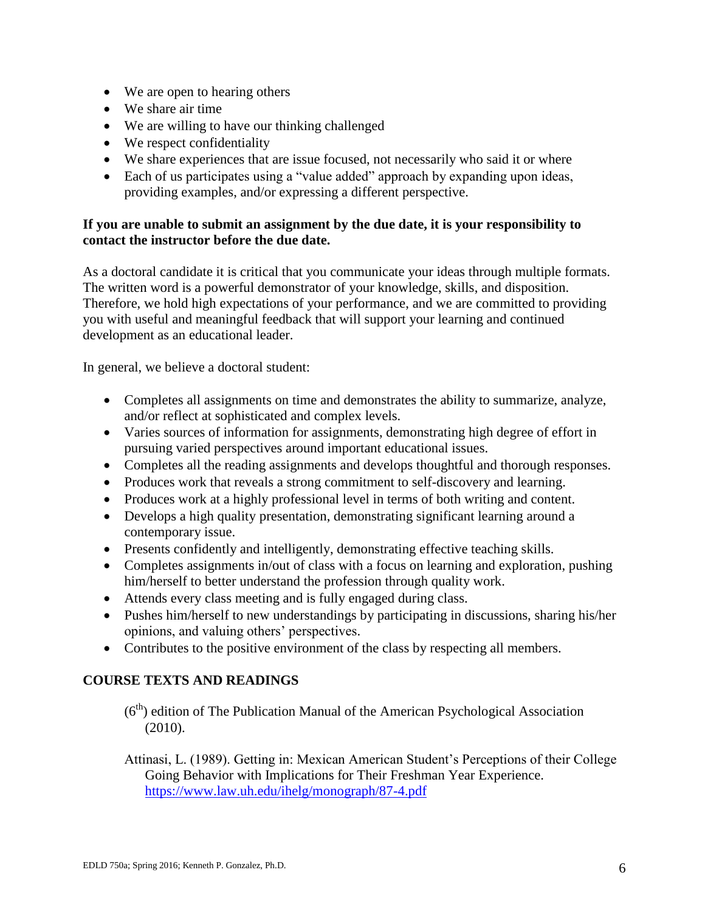- We are open to hearing others
- We share air time
- We are willing to have our thinking challenged
- We respect confidentiality
- We share experiences that are issue focused, not necessarily who said it or where
- Each of us participates using a "value added" approach by expanding upon ideas, providing examples, and/or expressing a different perspective.

## **If you are unable to submit an assignment by the due date, it is your responsibility to contact the instructor before the due date.**

As a doctoral candidate it is critical that you communicate your ideas through multiple formats. The written word is a powerful demonstrator of your knowledge, skills, and disposition. Therefore, we hold high expectations of your performance, and we are committed to providing you with useful and meaningful feedback that will support your learning and continued development as an educational leader.

In general, we believe a doctoral student:

- Completes all assignments on time and demonstrates the ability to summarize, analyze, and/or reflect at sophisticated and complex levels.
- Varies sources of information for assignments, demonstrating high degree of effort in pursuing varied perspectives around important educational issues.
- Completes all the reading assignments and develops thoughtful and thorough responses.
- Produces work that reveals a strong commitment to self-discovery and learning.
- Produces work at a highly professional level in terms of both writing and content.
- Develops a high quality presentation, demonstrating significant learning around a contemporary issue.
- Presents confidently and intelligently, demonstrating effective teaching skills.
- Completes assignments in/out of class with a focus on learning and exploration, pushing him/herself to better understand the profession through quality work.
- Attends every class meeting and is fully engaged during class.
- Pushes him/herself to new understandings by participating in discussions, sharing his/her opinions, and valuing others' perspectives.
- Contributes to the positive environment of the class by respecting all members.

# **COURSE TEXTS AND READINGS**

- $(6<sup>th</sup>)$  edition of The Publication Manual of the American Psychological Association (2010).
- Attinasi, L. (1989). Getting in: Mexican American Student's Perceptions of their College Going Behavior with Implications for Their Freshman Year Experience. <https://www.law.uh.edu/ihelg/monograph/87-4.pdf>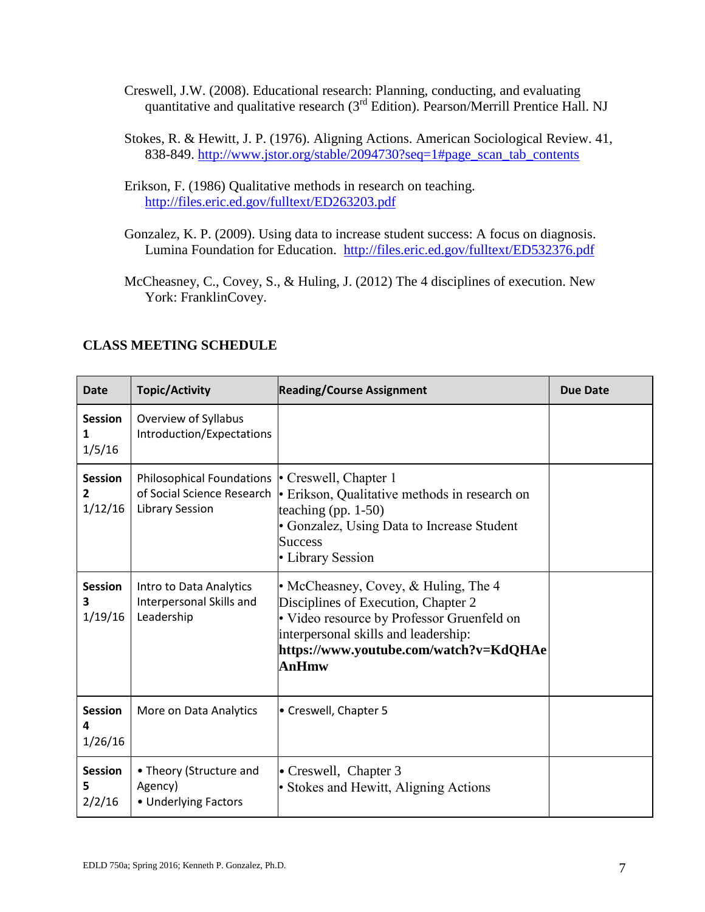- Creswell, J.W. (2008). Educational research: Planning, conducting, and evaluating quantitative and qualitative research (3<sup>rd</sup> Edition). Pearson/Merrill Prentice Hall. NJ
- Stokes, R. & Hewitt, J. P. (1976). Aligning Actions. American Sociological Review. 41, 838-849. [http://www.jstor.org/stable/2094730?seq=1#page\\_scan\\_tab\\_contents](http://www.jstor.org/stable/2094730?seq=1#page_scan_tab_contents)
- Erikson, F. (1986) Qualitative methods in research on teaching. <http://files.eric.ed.gov/fulltext/ED263203.pdf>
- Gonzalez, K. P. (2009). Using data to increase student success: A focus on diagnosis. Lumina Foundation for Education. <http://files.eric.ed.gov/fulltext/ED532376.pdf>
- McCheasney, C., Covey, S., & Huling, J. (2012) The 4 disciplines of execution. New York: FranklinCovey.

| Date                           | <b>Topic/Activity</b>                                                                                   | <b>Reading/Course Assignment</b>                                                                                                                                                                                            | <b>Due Date</b> |
|--------------------------------|---------------------------------------------------------------------------------------------------------|-----------------------------------------------------------------------------------------------------------------------------------------------------------------------------------------------------------------------------|-----------------|
| <b>Session</b><br>1<br>1/5/16  | Overview of Syllabus<br>Introduction/Expectations                                                       |                                                                                                                                                                                                                             |                 |
| <b>Session</b><br>2<br>1/12/16 | Philosophical Foundations   Creswell, Chapter 1<br>of Social Science Research<br><b>Library Session</b> | • Erikson, Qualitative methods in research on<br>teaching (pp. $1-50$ )<br>• Gonzalez, Using Data to Increase Student<br><b>Success</b><br>• Library Session                                                                |                 |
| <b>Session</b><br>3<br>1/19/16 | Intro to Data Analytics<br>Interpersonal Skills and<br>Leadership                                       | • McCheasney, Covey, & Huling, The 4<br>Disciplines of Execution, Chapter 2<br>• Video resource by Professor Gruenfeld on<br>interpersonal skills and leadership:<br>https://www.youtube.com/watch?v=KdQHAe<br><b>AnHmw</b> |                 |
| <b>Session</b><br>4<br>1/26/16 | More on Data Analytics                                                                                  | • Creswell, Chapter 5                                                                                                                                                                                                       |                 |
| <b>Session</b><br>5<br>2/2/16  | • Theory (Structure and<br>Agency)<br>• Underlying Factors                                              | • Creswell, Chapter 3<br>• Stokes and Hewitt, Aligning Actions                                                                                                                                                              |                 |

# **CLASS MEETING SCHEDULE**